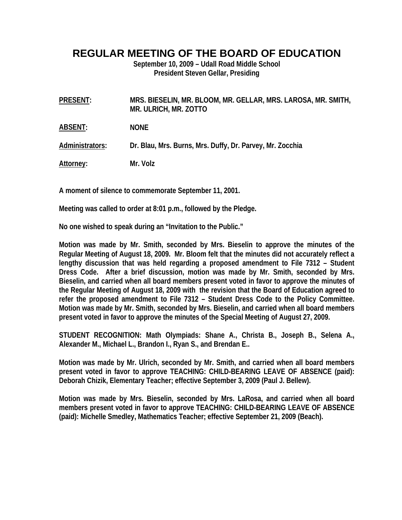## **REGULAR MEETING OF THE BOARD OF EDUCATION**

**September 10, 2009 – Udall Road Middle School President Steven Gellar, Presiding** 

**PRESENT: MRS. BIESELIN, MR. BLOOM, MR. GELLAR, MRS. LAROSA, MR. SMITH, MR. ULRICH, MR. ZOTTO** 

**ABSENT: NONE** 

**Administrators: Dr. Blau, Mrs. Burns, Mrs. Duffy, Dr. Parvey, Mr. Zocchia** 

**Attorney: Mr. Volz** 

**A moment of silence to commemorate September 11, 2001.** 

**Meeting was called to order at 8:01 p.m., followed by the Pledge.** 

**No one wished to speak during an "Invitation to the Public."** 

**Motion was made by Mr. Smith, seconded by Mrs. Bieselin to approve the minutes of the Regular Meeting of August 18, 2009. Mr. Bloom felt that the minutes did not accurately reflect a lengthy discussion that was held regarding a proposed amendment to File 7312 – Student Dress Code. After a brief discussion, motion was made by Mr. Smith, seconded by Mrs. Bieselin, and carried when all board members present voted in favor to approve the minutes of the Regular Meeting of August 18, 2009 with the revision that the Board of Education agreed to refer the proposed amendment to File 7312 – Student Dress Code to the Policy Committee. Motion was made by Mr. Smith, seconded by Mrs. Bieselin, and carried when all board members present voted in favor to approve the minutes of the Special Meeting of August 27, 2009.** 

**STUDENT RECOGNITION: Math Olympiads: Shane A., Christa B., Joseph B., Selena A., Alexander M., Michael L., Brandon I., Ryan S., and Brendan E..** 

**Motion was made by Mr. Ulrich, seconded by Mr. Smith, and carried when all board members present voted in favor to approve TEACHING: CHILD-BEARING LEAVE OF ABSENCE (paid): Deborah Chizik, Elementary Teacher; effective September 3, 2009 (Paul J. Bellew).** 

**Motion was made by Mrs. Bieselin, seconded by Mrs. LaRosa, and carried when all board members present voted in favor to approve TEACHING: CHILD-BEARING LEAVE OF ABSENCE (paid): Michelle Smedley, Mathematics Teacher; effective September 21, 2009 (Beach).**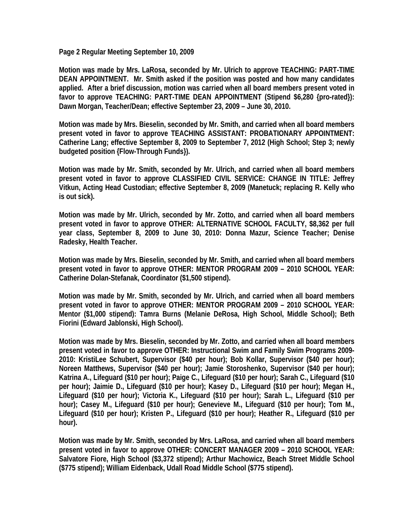**Page 2 Regular Meeting September 10, 2009** 

**Motion was made by Mrs. LaRosa, seconded by Mr. Ulrich to approve TEACHING: PART-TIME DEAN APPOINTMENT. Mr. Smith asked if the position was posted and how many candidates applied. After a brief discussion, motion was carried when all board members present voted in favor to approve TEACHING: PART-TIME DEAN APPOINTMENT (Stipend \$6,280 {pro-rated}): Dawn Morgan, Teacher/Dean; effective September 23, 2009 – June 30, 2010.** 

**Motion was made by Mrs. Bieselin, seconded by Mr. Smith, and carried when all board members present voted in favor to approve TEACHING ASSISTANT: PROBATIONARY APPOINTMENT: Catherine Lang; effective September 8, 2009 to September 7, 2012 (High School; Step 3; newly budgeted position {Flow-Through Funds}).** 

**Motion was made by Mr. Smith, seconded by Mr. Ulrich, and carried when all board members present voted in favor to approve CLASSIFIED CIVIL SERVICE: CHANGE IN TITLE: Jeffrey Vitkun, Acting Head Custodian; effective September 8, 2009 (Manetuck; replacing R. Kelly who is out sick).** 

**Motion was made by Mr. Ulrich, seconded by Mr. Zotto, and carried when all board members present voted in favor to approve OTHER: ALTERNATIVE SCHOOL FACULTY, \$8,362 per full year class, September 8, 2009 to June 30, 2010: Donna Mazur, Science Teacher; Denise Radesky, Health Teacher.** 

**Motion was made by Mrs. Bieselin, seconded by Mr. Smith, and carried when all board members present voted in favor to approve OTHER: MENTOR PROGRAM 2009 – 2010 SCHOOL YEAR: Catherine Dolan-Stefanak, Coordinator (\$1,500 stipend).** 

**Motion was made by Mr. Smith, seconded by Mr. Ulrich, and carried when all board members present voted in favor to approve OTHER: MENTOR PROGRAM 2009 – 2010 SCHOOL YEAR: Mentor (\$1,000 stipend): Tamra Burns (Melanie DeRosa, High School, Middle School); Beth Fiorini (Edward Jablonski, High School).** 

**Motion was made by Mrs. Bieselin, seconded by Mr. Zotto, and carried when all board members present voted in favor to approve OTHER: Instructional Swim and Family Swim Programs 2009- 2010: KristiLee Schubert, Supervisor (\$40 per hour); Bob Kollar, Supervisor (\$40 per hour); Noreen Matthews, Supervisor (\$40 per hour); Jamie Storoshenko, Supervisor (\$40 per hour); Katrina A., Lifeguard (\$10 per hour); Paige C., Lifeguard (\$10 per hour); Sarah C., Lifeguard (\$10 per hour); Jaimie D., Lifeguard (\$10 per hour); Kasey D., Lifeguard (\$10 per hour); Megan H., Lifeguard (\$10 per hour); Victoria K., Lifeguard (\$10 per hour); Sarah L., Lifeguard (\$10 per hour); Casey M., Lifeguard (\$10 per hour); Genevieve M., Lifeguard (\$10 per hour); Tom M., Lifeguard (\$10 per hour); Kristen P., Lifeguard (\$10 per hour); Heather R., Lifeguard (\$10 per hour).** 

**Motion was made by Mr. Smith, seconded by Mrs. LaRosa, and carried when all board members present voted in favor to approve OTHER: CONCERT MANAGER 2009 – 2010 SCHOOL YEAR: Salvatore Fiore, High School (\$3,372 stipend); Arthur Machowicz, Beach Street Middle School (\$775 stipend); William Eidenback, Udall Road Middle School (\$775 stipend).**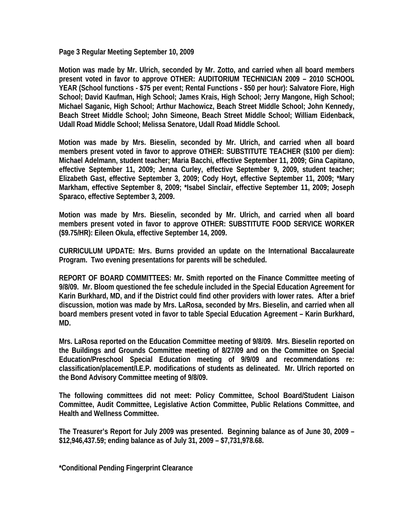**Page 3 Regular Meeting September 10, 2009** 

**Motion was made by Mr. Ulrich, seconded by Mr. Zotto, and carried when all board members present voted in favor to approve OTHER: AUDITORIUM TECHNICIAN 2009 – 2010 SCHOOL YEAR (School functions - \$75 per event; Rental Functions - \$50 per hour): Salvatore Fiore, High School; David Kaufman, High School; James Krais, High School; Jerry Mangone, High School; Michael Saganic, High School; Arthur Machowicz, Beach Street Middle School; John Kennedy, Beach Street Middle School; John Simeone, Beach Street Middle School; William Eidenback, Udall Road Middle School; Melissa Senatore, Udall Road Middle School.** 

**Motion was made by Mrs. Bieselin, seconded by Mr. Ulrich, and carried when all board members present voted in favor to approve OTHER: SUBSTITUTE TEACHER (\$100 per diem): Michael Adelmann, student teacher; Maria Bacchi, effective September 11, 2009; Gina Capitano, effective September 11, 2009; Jenna Curley, effective September 9, 2009, student teacher; Elizabeth Gast, effective September 3, 2009; Cody Hoyt, effective September 11, 2009; \*Mary Markham, effective September 8, 2009; \*Isabel Sinclair, effective September 11, 2009; Joseph Sparaco, effective September 3, 2009.** 

**Motion was made by Mrs. Bieselin, seconded by Mr. Ulrich, and carried when all board members present voted in favor to approve OTHER: SUBSTITUTE FOOD SERVICE WORKER (\$9.75/HR): Eileen Okula, effective September 14, 2009.** 

**CURRICULUM UPDATE: Mrs. Burns provided an update on the International Baccalaureate Program. Two evening presentations for parents will be scheduled.** 

**REPORT OF BOARD COMMITTEES: Mr. Smith reported on the Finance Committee meeting of 9/8/09. Mr. Bloom questioned the fee schedule included in the Special Education Agreement for Karin Burkhard, MD, and if the District could find other providers with lower rates. After a brief discussion, motion was made by Mrs. LaRosa, seconded by Mrs. Bieselin, and carried when all board members present voted in favor to table Special Education Agreement – Karin Burkhard, MD.** 

**Mrs. LaRosa reported on the Education Committee meeting of 9/8/09. Mrs. Bieselin reported on the Buildings and Grounds Committee meeting of 8/27/09 and on the Committee on Special Education/Preschool Special Education meeting of 9/9/09 and recommendations re: classification/placement/I.E.P. modifications of students as delineated. Mr. Ulrich reported on the Bond Advisory Committee meeting of 9/8/09.** 

**The following committees did not meet: Policy Committee, School Board/Student Liaison Committee, Audit Committee, Legislative Action Committee, Public Relations Committee, and Health and Wellness Committee.** 

**The Treasurer's Report for July 2009 was presented. Beginning balance as of June 30, 2009 – \$12,946,437.59; ending balance as of July 31, 2009 – \$7,731,978.68.** 

**\*Conditional Pending Fingerprint Clearance**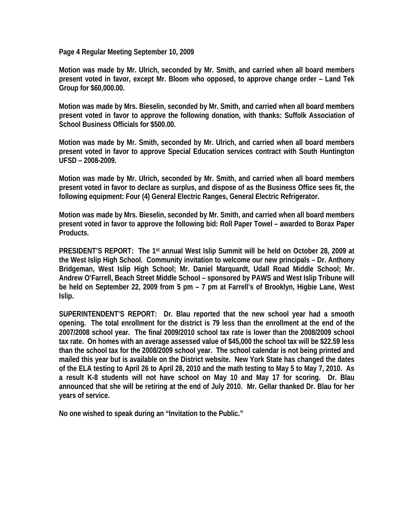**Page 4 Regular Meeting September 10, 2009** 

**Motion was made by Mr. Ulrich, seconded by Mr. Smith, and carried when all board members present voted in favor, except Mr. Bloom who opposed, to approve change order – Land Tek Group for \$60,000.00.** 

**Motion was made by Mrs. Bieselin, seconded by Mr. Smith, and carried when all board members present voted in favor to approve the following donation, with thanks: Suffolk Association of School Business Officials for \$500.00.** 

**Motion was made by Mr. Smith, seconded by Mr. Ulrich, and carried when all board members present voted in favor to approve Special Education services contract with South Huntington UFSD – 2008-2009.** 

**Motion was made by Mr. Ulrich, seconded by Mr. Smith, and carried when all board members present voted in favor to declare as surplus, and dispose of as the Business Office sees fit, the following equipment: Four (4) General Electric Ranges, General Electric Refrigerator.** 

**Motion was made by Mrs. Bieselin, seconded by Mr. Smith, and carried when all board members present voted in favor to approve the following bid: Roll Paper Towel – awarded to Borax Paper Products.** 

**PRESIDENT'S REPORT: The 1st annual West Islip Summit will be held on October 28, 2009 at the West Islip High School. Community invitation to welcome our new principals – Dr. Anthony Bridgeman, West Islip High School; Mr. Daniel Marquardt, Udall Road Middle School; Mr. Andrew O'Farrell, Beach Street Middle School – sponsored by PAWS and West Islip Tribune will be held on September 22, 2009 from 5 pm – 7 pm at Farrell's of Brooklyn, Higbie Lane, West Islip.** 

**SUPERINTENDENT'S REPORT: Dr. Blau reported that the new school year had a smooth opening. The total enrollment for the district is 79 less than the enrollment at the end of the 2007/2008 school year. The final 2009/2010 school tax rate is lower than the 2008/2009 school tax rate. On homes with an average assessed value of \$45,000 the school tax will be \$22.59 less than the school tax for the 2008/2009 school year. The school calendar is not being printed and mailed this year but is available on the District website. New York State has changed the dates of the ELA testing to April 26 to April 28, 2010 and the math testing to May 5 to May 7, 2010. As a result K-8 students will not have school on May 10 and May 17 for scoring. Dr. Blau announced that she will be retiring at the end of July 2010. Mr. Gellar thanked Dr. Blau for her years of service.** 

**No one wished to speak during an "Invitation to the Public."**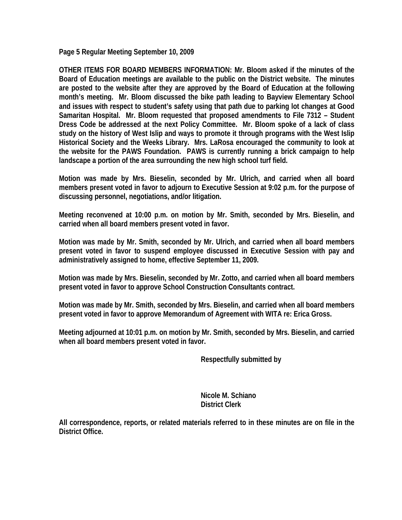**Page 5 Regular Meeting September 10, 2009** 

**OTHER ITEMS FOR BOARD MEMBERS INFORMATION: Mr. Bloom asked if the minutes of the Board of Education meetings are available to the public on the District website. The minutes are posted to the website after they are approved by the Board of Education at the following month's meeting. Mr. Bloom discussed the bike path leading to Bayview Elementary School and issues with respect to student's safety using that path due to parking lot changes at Good Samaritan Hospital. Mr. Bloom requested that proposed amendments to File 7312 – Student Dress Code be addressed at the next Policy Committee. Mr. Bloom spoke of a lack of class study on the history of West Islip and ways to promote it through programs with the West Islip Historical Society and the Weeks Library. Mrs. LaRosa encouraged the community to look at the website for the PAWS Foundation. PAWS is currently running a brick campaign to help landscape a portion of the area surrounding the new high school turf field.** 

**Motion was made by Mrs. Bieselin, seconded by Mr. Ulrich, and carried when all board members present voted in favor to adjourn to Executive Session at 9:02 p.m. for the purpose of discussing personnel, negotiations, and/or litigation.** 

**Meeting reconvened at 10:00 p.m. on motion by Mr. Smith, seconded by Mrs. Bieselin, and carried when all board members present voted in favor.** 

**Motion was made by Mr. Smith, seconded by Mr. Ulrich, and carried when all board members present voted in favor to suspend employee discussed in Executive Session with pay and administratively assigned to home, effective September 11, 2009.** 

**Motion was made by Mrs. Bieselin, seconded by Mr. Zotto, and carried when all board members present voted in favor to approve School Construction Consultants contract.** 

**Motion was made by Mr. Smith, seconded by Mrs. Bieselin, and carried when all board members present voted in favor to approve Memorandum of Agreement with WITA re: Erica Gross.** 

**Meeting adjourned at 10:01 p.m. on motion by Mr. Smith, seconded by Mrs. Bieselin, and carried when all board members present voted in favor.** 

 **Respectfully submitted by** 

 **Nicole M. Schiano District Clerk** 

**All correspondence, reports, or related materials referred to in these minutes are on file in the District Office.**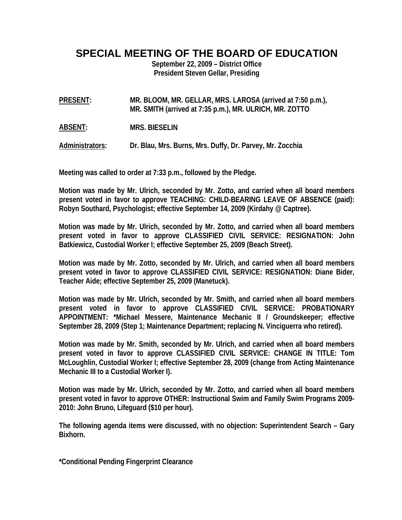**SPECIAL MEETING OF THE BOARD OF EDUCATION** 

**September 22, 2009 – District Office President Steven Gellar, Presiding** 

**PRESENT: MR. BLOOM, MR. GELLAR, MRS. LAROSA (arrived at 7:50 p.m.), MR. SMITH (arrived at 7:35 p.m.), MR. ULRICH, MR. ZOTTO** 

**ABSENT: MRS. BIESELIN** 

**Administrators: Dr. Blau, Mrs. Burns, Mrs. Duffy, Dr. Parvey, Mr. Zocchia** 

**Meeting was called to order at 7:33 p.m., followed by the Pledge.** 

**Motion was made by Mr. Ulrich, seconded by Mr. Zotto, and carried when all board members present voted in favor to approve TEACHING: CHILD-BEARING LEAVE OF ABSENCE (paid): Robyn Southard, Psychologist; effective September 14, 2009 (Kirdahy @ Captree).** 

**Motion was made by Mr. Ulrich, seconded by Mr. Zotto, and carried when all board members present voted in favor to approve CLASSIFIED CIVIL SERVICE: RESIGNATION: John Batkiewicz, Custodial Worker I; effective September 25, 2009 (Beach Street).** 

**Motion was made by Mr. Zotto, seconded by Mr. Ulrich, and carried when all board members present voted in favor to approve CLASSIFIED CIVIL SERVICE: RESIGNATION: Diane Bider, Teacher Aide; effective September 25, 2009 (Manetuck).** 

**Motion was made by Mr. Ulrich, seconded by Mr. Smith, and carried when all board members present voted in favor to approve CLASSIFIED CIVIL SERVICE: PROBATIONARY APPOINTMENT: \*Michael Messere, Maintenance Mechanic II / Groundskeeper; effective September 28, 2009 (Step 1; Maintenance Department; replacing N. Vinciguerra who retired).** 

**Motion was made by Mr. Smith, seconded by Mr. Ulrich, and carried when all board members present voted in favor to approve CLASSIFIED CIVIL SERVICE: CHANGE IN TITLE: Tom McLoughlin, Custodial Worker I; effective September 28, 2009 (change from Acting Maintenance Mechanic III to a Custodial Worker I).** 

**Motion was made by Mr. Ulrich, seconded by Mr. Zotto, and carried when all board members present voted in favor to approve OTHER: Instructional Swim and Family Swim Programs 2009- 2010: John Bruno, Lifeguard (\$10 per hour).** 

**The following agenda items were discussed, with no objection: Superintendent Search – Gary Bixhorn.** 

**\*Conditional Pending Fingerprint Clearance**